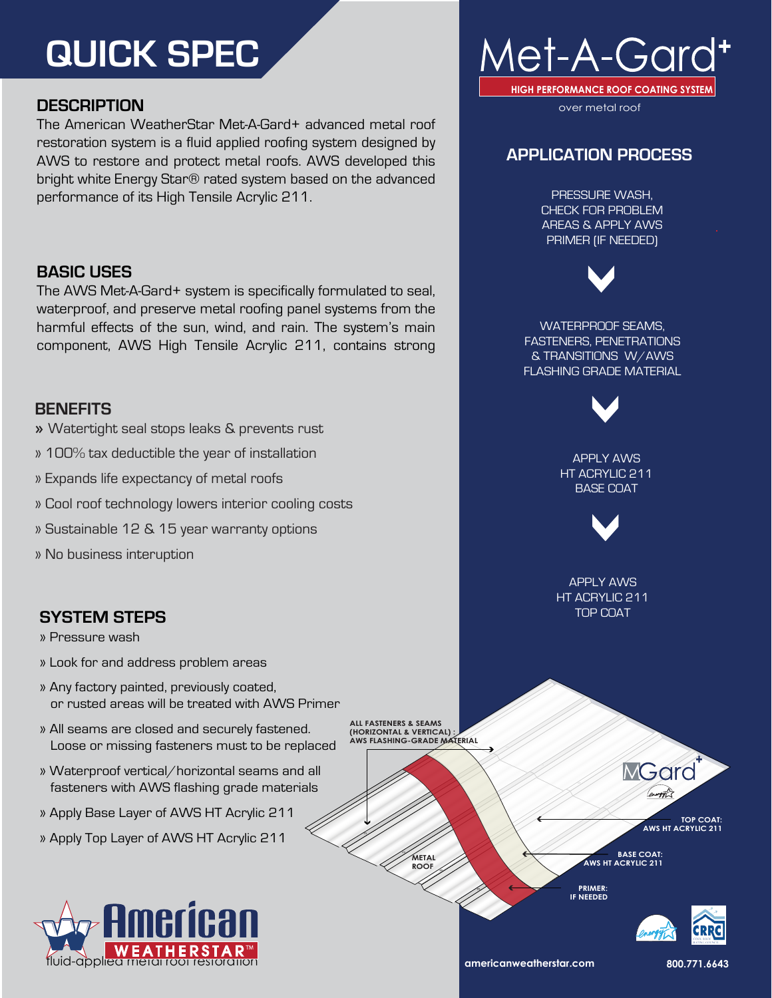# **QUICK SPEC**

## **DESCRIPTION**

The American WeatherStar Met-A-Gard+ advanced metal roof restoration system is a fluid applied roofing system designed by AWS to restore and protect metal roofs. AWS developed this bright white Energy Star® rated system based on the advanced performance of its High Tensile Acrylic 211.

## **BASIC USES**

The AWS Met-A-Gard+ system is specifically formulated to seal, waterproof, and preserve metal roofing panel systems from the harmful effects of the sun, wind, and rain. The system's main component, AWS High Tensile Acrylic 211, contains strong

### **BENEFITS**

- » Watertight seal stops leaks & prevents rust
- » 100% tax deductible the year of installation
- » Expands life expectancy of metal roofs
- » Cool roof technology lowers interior cooling costs
- » Sustainable 12 & 15 year warranty options
- » No business interuption

## **SYSTEM STEPS**

» Pressure wash

- » Look for and address problem areas
- » Any factory painted, previously coated, or rusted areas will be treated with AWS Primer
- » All seams are closed and securely fastened. Loose or missing fasteners must to be replaced
- » Waterproof vertical/horizontal seams and all fasteners with AWS flashing grade materials
- » Apply Base Layer of AWS HT Acrylic 211
- » Apply Top Layer of AWS HT Acrylic 211



**ALL FASTENERS & SEAMS (HORIZONTAL & VERTICAL) : AWS FLASHING-GRADE MATERIAL**



**TOP COAT: AWS HT ACRYLIC 211** 

MGarc

**BASE COAT: AWS HT ACRYLIC 211** 

**PRIMER: IF NEEDED**



**americanweatherstar.com 800.771.6643**



over metal roof

## **APPLICATION PROCESS**

PRESSURE WASH, CHECK FOR PROBLEM AREAS & APPLY AWS PRIMER (IF NEEDED)



WATERPROOF SEAMS, FASTENERS, PENETRATIONS & TRANSITIONS W/AWS FLASHING GRADE MATERIAL

APPLY AWS HT ACRYLIC 211 BASE COAT



APPLY AWS HT ACRYLIC 211 TOP COAT

**METAL ROOF**